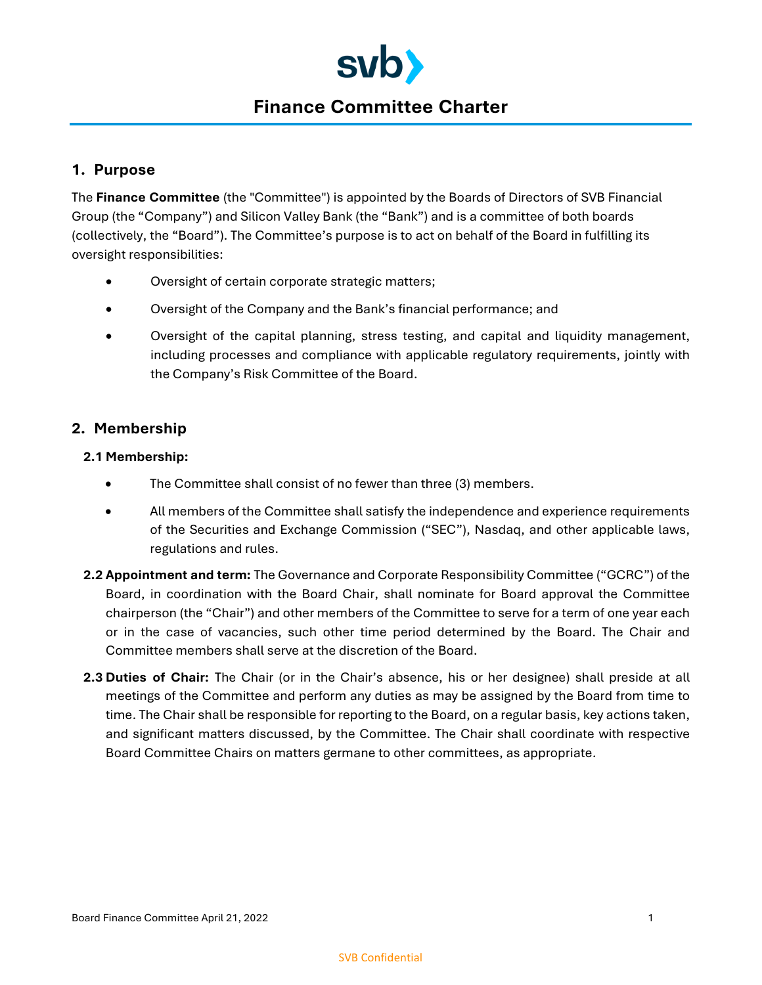

# **Finance Committee Charter**

## **1. Purpose**

The **Finance Committee** (the "Committee") is appointed by the Boards of Directors of SVB Financial Group (the "Company") and Silicon Valley Bank (the "Bank") and is a committee of both boards (collectively, the "Board"). The Committee's purpose is to act on behalf of the Board in fulfilling its oversight responsibilities:

- Oversight of certain corporate strategic matters;
- Oversight of the Company and the Bank's financial performance; and
- Oversight of the capital planning, stress testing, and capital and liquidity management, including processes and compliance with applicable regulatory requirements, jointly with the Company's Risk Committee of the Board.

## **2. Membership**

#### **2.1 Membership:**

- The Committee shall consist of no fewer than three (3) members.
- All members of the Committee shall satisfy the independence and experience requirements of the Securities and Exchange Commission ("SEC"), Nasdaq, and other applicable laws, regulations and rules.
- **2.2 Appointment and term:** The Governance and Corporate Responsibility Committee ("GCRC") of the Board, in coordination with the Board Chair, shall nominate for Board approval the Committee chairperson (the "Chair") and other members of the Committee to serve for a term of one year each or in the case of vacancies, such other time period determined by the Board. The Chair and Committee members shall serve at the discretion of the Board.
- **2.3 Duties of Chair:** The Chair (or in the Chair's absence, his or her designee) shall preside at all meetings of the Committee and perform any duties as may be assigned by the Board from time to time. The Chair shall be responsible for reporting to the Board, on a regular basis, key actions taken, and significant matters discussed, by the Committee. The Chair shall coordinate with respective Board Committee Chairs on matters germane to other committees, as appropriate.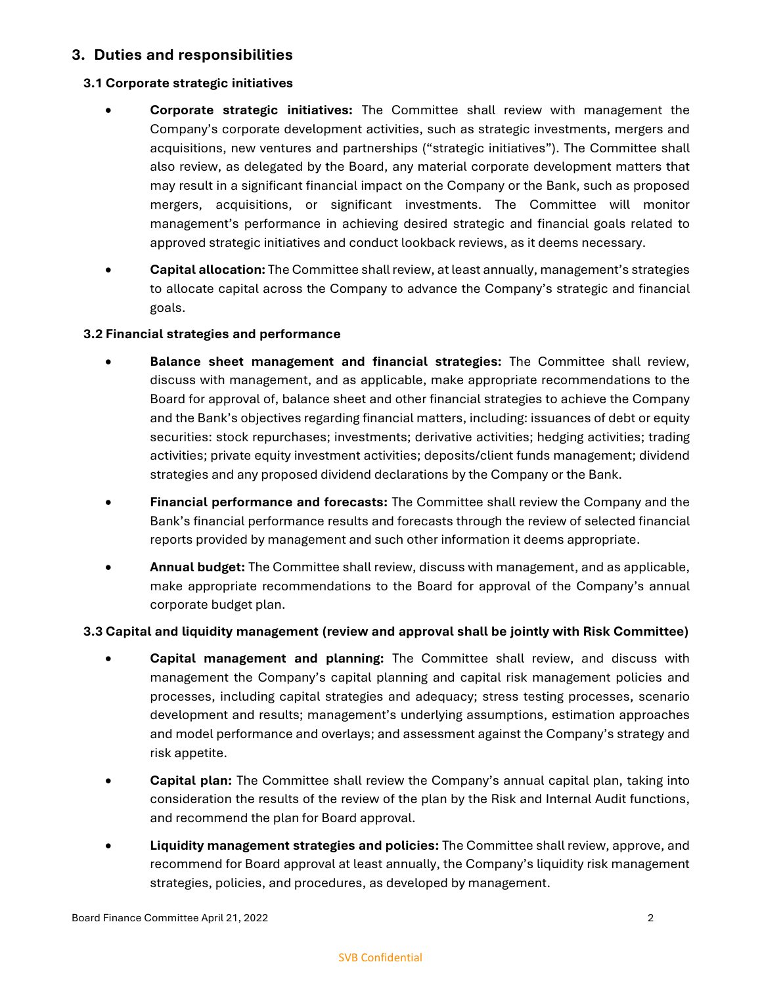## **3. Duties and responsibilities**

#### **3.1 Corporate strategic initiatives**

- **Corporate strategic initiatives:** The Committee shall review with management the Company's corporate development activities, such as strategic investments, mergers and acquisitions, new ventures and partnerships ("strategic initiatives"). The Committee shall also review, as delegated by the Board, any material corporate development matters that may result in a significant financial impact on the Company or the Bank, such as proposed mergers, acquisitions, or significant investments. The Committee will monitor management's performance in achieving desired strategic and financial goals related to approved strategic initiatives and conduct lookback reviews, as it deems necessary.
- **Capital allocation:** The Committee shall review, at least annually, management's strategies to allocate capital across the Company to advance the Company's strategic and financial goals.

#### **3.2 Financial strategies and performance**

- **Balance sheet management and financial strategies:** The Committee shall review, discuss with management, and as applicable, make appropriate recommendations to the Board for approval of, balance sheet and other financial strategies to achieve the Company and the Bank's objectives regarding financial matters, including: issuances of debt or equity securities: stock repurchases; investments; derivative activities; hedging activities; trading activities; private equity investment activities; deposits/client funds management; dividend strategies and any proposed dividend declarations by the Company or the Bank.
- **Financial performance and forecasts:** The Committee shall review the Company and the Bank's financial performance results and forecasts through the review of selected financial reports provided by management and such other information it deems appropriate.
- **Annual budget:** The Committee shall review, discuss with management, and as applicable, make appropriate recommendations to the Board for approval of the Company's annual corporate budget plan.

#### **3.3 Capital and liquidity management (review and approval shall be jointly with Risk Committee)**

- **Capital management and planning:** The Committee shall review, and discuss with management the Company's capital planning and capital risk management policies and processes, including capital strategies and adequacy; stress testing processes, scenario development and results; management's underlying assumptions, estimation approaches and model performance and overlays; and assessment against the Company's strategy and risk appetite.
- **Capital plan:** The Committee shall review the Company's annual capital plan, taking into consideration the results of the review of the plan by the Risk and Internal Audit functions, and recommend the plan for Board approval.
- **Liquidity management strategies and policies:** The Committee shall review, approve, and recommend for Board approval at least annually, the Company's liquidity risk management strategies, policies, and procedures, as developed by management.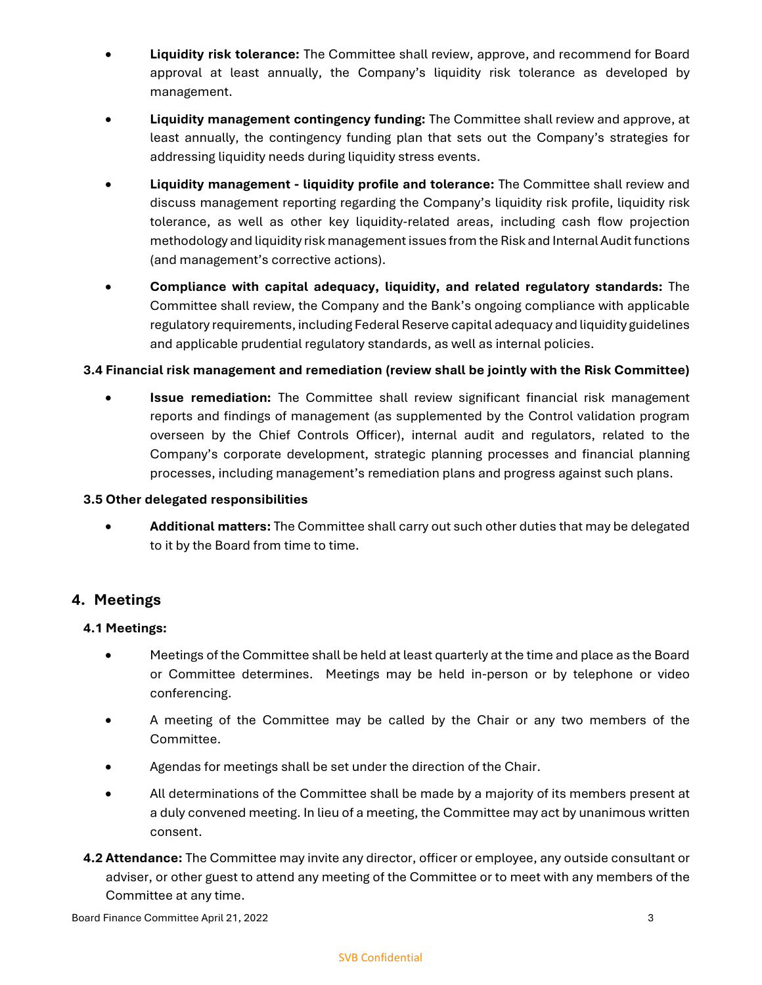- **Liquidity risk tolerance:** The Committee shall review, approve, and recommend for Board approval at least annually, the Company's liquidity risk tolerance as developed by management.
- **Liquidity management contingency funding:** The Committee shall review and approve, at least annually, the contingency funding plan that sets out the Company's strategies for addressing liquidity needs during liquidity stress events.
- **Liquidity management liquidity profile and tolerance:** The Committee shall review and discuss management reporting regarding the Company's liquidity risk profile, liquidity risk tolerance, as well as other key liquidity-related areas, including cash flow projection methodology and liquidity risk management issues from the Risk and Internal Audit functions (and management's corrective actions).
- **Compliance with capital adequacy, liquidity, and related regulatory standards:** The Committee shall review, the Company and the Bank's ongoing compliance with applicable regulatory requirements, including Federal Reserve capital adequacy and liquidity guidelines and applicable prudential regulatory standards, as well as internal policies.

#### **3.4 Financial risk management and remediation (review shall be jointly with the Risk Committee)**

 **Issue remediation:** The Committee shall review significant financial risk management reports and findings of management (as supplemented by the Control validation program overseen by the Chief Controls Officer), internal audit and regulators, related to the Company's corporate development, strategic planning processes and financial planning processes, including management's remediation plans and progress against such plans.

#### **3.5 Other delegated responsibilities**

 **Additional matters:** The Committee shall carry out such other duties that may be delegated to it by the Board from time to time.

## **4. Meetings**

#### **4.1 Meetings:**

- Meetings of the Committee shall be held at least quarterly at the time and place as the Board or Committee determines. Meetings may be held in-person or by telephone or video conferencing.
- A meeting of the Committee may be called by the Chair or any two members of the Committee.
- Agendas for meetings shall be set under the direction of the Chair.
- All determinations of the Committee shall be made by a majority of its members present at a duly convened meeting. In lieu of a meeting, the Committee may act by unanimous written consent.
- **4.2 Attendance:** The Committee may invite any director, officer or employee, any outside consultant or adviser, or other guest to attend any meeting of the Committee or to meet with any members of the Committee at any time.

#### SVB Confidential